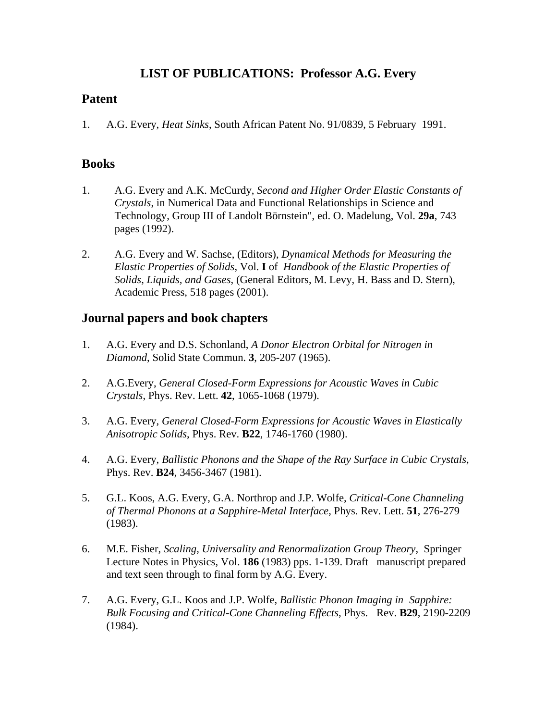# **LIST OF PUBLICATIONS: Professor A.G. Every**

## **Patent**

1. A.G. Every, *Heat Sinks*, South African Patent No. 91/0839, 5 February 1991.

### **Books**

- 1. A.G. Every and A.K. McCurdy, *Second and Higher Order Elastic Constants of Crystals*, in Numerical Data and Functional Relationships in Science and Technology, Group III of Landolt Börnstein", ed. O. Madelung, Vol. **29a**, 743 pages (1992).
- 2. A.G. Every and W. Sachse, (Editors), *Dynamical Methods for Measuring the Elastic Properties of Solids*, Vol. **I** of *Handbook of the Elastic Properties of Solids, Liquids, and Gases*, (General Editors, M. Levy, H. Bass and D. Stern), Academic Press, 518 pages (2001).

#### **Journal papers and book chapters**

- 1. A.G. Every and D.S. Schonland, *A Donor Electron Orbital for Nitrogen in Diamond*, Solid State Commun. **3**, 205-207 (1965).
- 2. A.G.Every, *General Closed-Form Expressions for Acoustic Waves in Cubic Crystals*, Phys. Rev. Lett. **42**, 1065-1068 (1979).
- 3. A.G. Every, *General Closed-Form Expressions for Acoustic Waves in Elastically Anisotropic Solids*, Phys. Rev. **B22**, 1746-1760 (1980).
- 4. A.G. Every, *Ballistic Phonons and the Shape of the Ray Surface in Cubic Crystals*, Phys. Rev. **B24**, 3456-3467 (1981).
- 5. G.L. Koos, A.G. Every, G.A. Northrop and J.P. Wolfe, *Critical-Cone Channeling of Thermal Phonons at a Sapphire-Metal Interface*, Phys. Rev. Lett. **51**, 276-279 (1983).
- 6. M.E. Fisher, *Scaling, Universality and Renormalization Group Theory*, Springer Lecture Notes in Physics, Vol. **186** (1983) pps. 1-139. Draft manuscript prepared and text seen through to final form by A.G. Every.
- 7. A.G. Every, G.L. Koos and J.P. Wolfe, *Ballistic Phonon Imaging in Sapphire: Bulk Focusing and Critical-Cone Channeling Effects*, Phys. Rev. **B29**, 2190-2209 (1984).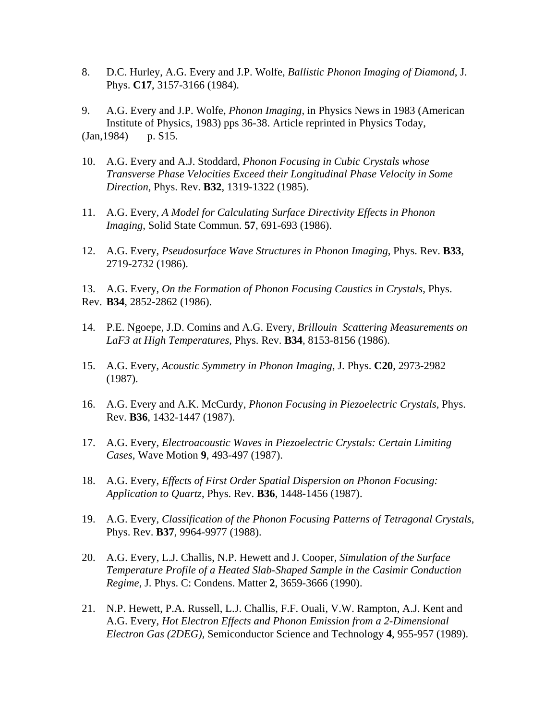8. D.C. Hurley, A.G. Every and J.P. Wolfe, *Ballistic Phonon Imaging of Diamond*, J. Phys. **C17**, 3157-3166 (1984).

9. A.G. Every and J.P. Wolfe, *Phonon Imaging*, in Physics News in 1983 (American Institute of Physics, 1983) pps 36-38. Article reprinted in Physics Today, (Jan,1984) p. S15.

- 10. A.G. Every and A.J. Stoddard, *Phonon Focusing in Cubic Crystals whose Transverse Phase Velocities Exceed their Longitudinal Phase Velocity in Some Direction*, Phys. Rev. **B32**, 1319-1322 (1985).
- 11. A.G. Every, *A Model for Calculating Surface Directivity Effects in Phonon Imaging*, Solid State Commun. **57**, 691-693 (1986).
- 12. A.G. Every, *Pseudosurface Wave Structures in Phonon Imaging*, Phys. Rev. **B33**, 2719-2732 (1986).

13. A.G. Every, *On the Formation of Phonon Focusing Caustics in Crystals*, Phys. Rev. **B34**, 2852-2862 (1986).

- 14. P.E. Ngoepe, J.D. Comins and A.G. Every, *Brillouin Scattering Measurements on LaF3 at High Temperatures*, Phys. Rev. **B34**, 8153-8156 (1986).
- 15. A.G. Every, *Acoustic Symmetry in Phonon Imaging*, J. Phys. **C20**, 2973-2982 (1987).
- 16. A.G. Every and A.K. McCurdy, *Phonon Focusing in Piezoelectric Crystals*, Phys. Rev. **B36**, 1432-1447 (1987).
- 17. A.G. Every, *Electroacoustic Waves in Piezoelectric Crystals: Certain Limiting Cases*, Wave Motion **9**, 493-497 (1987).
- 18. A.G. Every, *Effects of First Order Spatial Dispersion on Phonon Focusing: Application to Quartz*, Phys. Rev. **B36**, 1448-1456 (1987).
- 19. A.G. Every, *Classification of the Phonon Focusing Patterns of Tetragonal Crystals*, Phys. Rev. **B37**, 9964-9977 (1988).
- 20. A.G. Every, L.J. Challis, N.P. Hewett and J. Cooper, *Simulation of the Surface Temperature Profile of a Heated Slab-Shaped Sample in the Casimir Conduction Regime*, J. Phys. C: Condens. Matter **2**, 3659-3666 (1990).
- 21. N.P. Hewett, P.A. Russell, L.J. Challis, F.F. Ouali, V.W. Rampton, A.J. Kent and A.G. Every, *Hot Electron Effects and Phonon Emission from a 2-Dimensional Electron Gas (2DEG),* Semiconductor Science and Technology **4**, 955-957 (1989).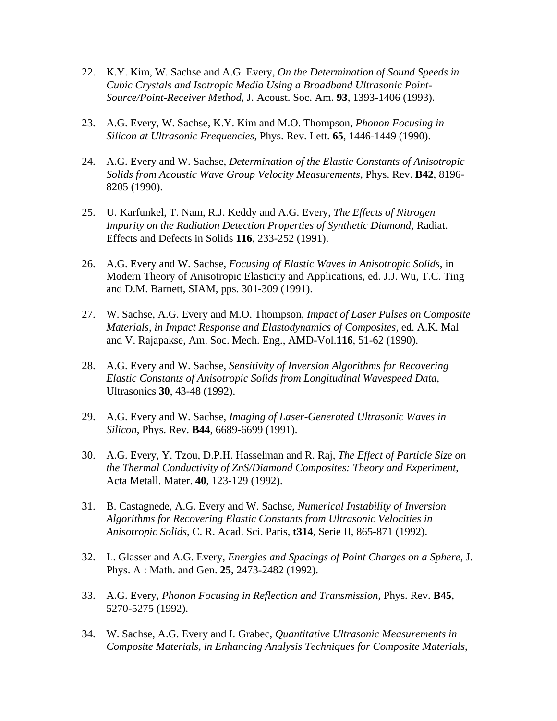- 22. K.Y. Kim, W. Sachse and A.G. Every, *On the Determination of Sound Speeds in Cubic Crystals and Isotropic Media Using a Broadband Ultrasonic Point- Source/Point-Receiver Method*, J. Acoust. Soc. Am. **93**, 1393-1406 (1993).
- 23. A.G. Every, W. Sachse, K.Y. Kim and M.O. Thompson, *Phonon Focusing in Silicon at Ultrasonic Frequencies*, Phys. Rev. Lett. **65**, 1446-1449 (1990).
- 24. A.G. Every and W. Sachse, *Determination of the Elastic Constants of Anisotropic Solids from Acoustic Wave Group Velocity Measurements*, Phys. Rev. **B42**, 8196- 8205 (1990).
- 25. U. Karfunkel, T. Nam, R.J. Keddy and A.G. Every, *The Effects of Nitrogen Impurity on the Radiation Detection Properties of Synthetic Diamond*, Radiat. Effects and Defects in Solids **116**, 233-252 (1991).
- 26. A.G. Every and W. Sachse, *Focusing of Elastic Waves in Anisotropic Solids*, in Modern Theory of Anisotropic Elasticity and Applications, ed. J.J. Wu, T.C. Ting and D.M. Barnett, SIAM, pps. 301-309 (1991).
- 27. W. Sachse, A.G. Every and M.O. Thompson, *Impact of Laser Pulses on Composite Materials, in Impact Response and Elastodynamics of Composites*, ed. A.K. Mal and V. Rajapakse, Am. Soc. Mech. Eng., AMD-Vol.**116**, 51-62 (1990).
- 28. A.G. Every and W. Sachse, *Sensitivity of Inversion Algorithms for Recovering Elastic Constants of Anisotropic Solids from Longitudinal Wavespeed Data*, Ultrasonics **30**, 43-48 (1992).
- 29. A.G. Every and W. Sachse, *Imaging of Laser-Generated Ultrasonic Waves in Silicon*, Phys. Rev. **B44**, 6689-6699 (1991).
- 30. A.G. Every, Y. Tzou, D.P.H. Hasselman and R. Raj, *The Effect of Particle Size on the Thermal Conductivity of ZnS/Diamond Composites: Theory and Experiment*, Acta Metall. Mater. **40**, 123-129 (1992).
- 31. B. Castagnede, A.G. Every and W. Sachse, *Numerical Instability of Inversion Algorithms for Recovering Elastic Constants from Ultrasonic Velocities in Anisotropic Solids*, C. R. Acad. Sci. Paris, **t314**, Serie II, 865-871 (1992).
- 32. L. Glasser and A.G. Every, *Energies and Spacings of Point Charges on a Sphere*, J. Phys. A : Math. and Gen. **25**, 2473-2482 (1992).
- 33. A.G. Every, *Phonon Focusing in Reflection and Transmission*, Phys. Rev. **B45**, 5270-5275 (1992).
- 34. W. Sachse, A.G. Every and I. Grabec, *Quantitative Ultrasonic Measurements in Composite Materials, in Enhancing Analysis Techniques for Composite Materials*,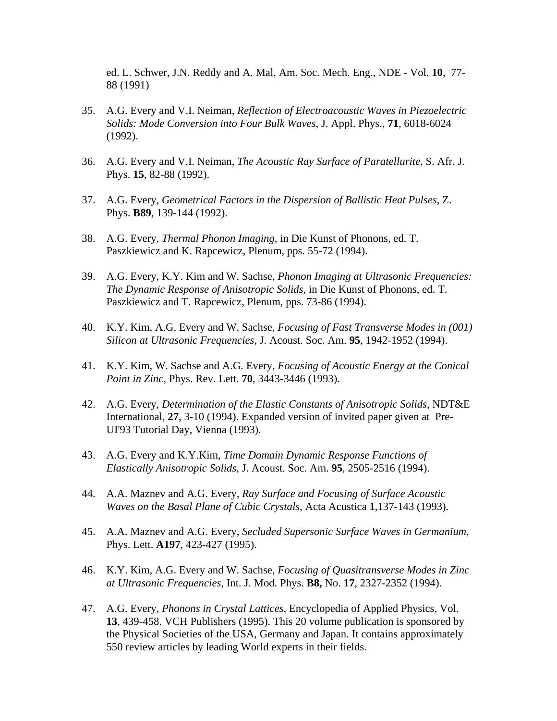ed. L. Schwer, J.N. Reddy and A. Mal, Am. Soc. Mech. Eng., NDE - Vol. **10**, 77- 88 (1991)

- 35. A.G. Every and V.I. Neiman, *Reflection of Electroacoustic Waves in Piezoelectric Solids: Mode Conversion into Four Bulk Waves*, J. Appl. Phys., **71**, 6018-6024 (1992).
- 36. A.G. Every and V.I. Neiman, *The Acoustic Ray Surface of Paratellurite*, S. Afr. J. Phys. **15**, 82-88 (1992).
- 37. A.G. Every, *Geometrical Factors in the Dispersion of Ballistic Heat Pulses*, Z. Phys. **B89**, 139-144 (1992).
- 38. A.G. Every, *Thermal Phonon Imaging*, in Die Kunst of Phonons, ed. T. Paszkiewicz and K. Rapcewicz, Plenum, pps. 55-72 (1994).
- 39. A.G. Every, K.Y. Kim and W. Sachse, *Phonon Imaging at Ultrasonic Frequencies: The Dynamic Response of Anisotropic Solids*, in Die Kunst of Phonons, ed. T. Paszkiewicz and T. Rapcewicz, Plenum, pps. 73-86 (1994).
- 40. K.Y. Kim, A.G. Every and W. Sachse, *Focusing of Fast Transverse Modes in (001) Silicon at Ultrasonic Frequencies*, J. Acoust. Soc. Am. **95**, 1942-1952 (1994).
- 41. K.Y. Kim, W. Sachse and A.G. Every, *Focusing of Acoustic Energy at the Conical Point in Zinc*, Phys. Rev. Lett. **70**, 3443-3446 (1993).
- 42. A.G. Every, *Determination of the Elastic Constants of Anisotropic Solids*, NDT&E International, **27**, 3-10 (1994). Expanded version of invited paper given at Pre- UI'93 Tutorial Day, Vienna (1993).
- 43. A.G. Every and K.Y.Kim, *Time Domain Dynamic Response Functions of Elastically Anisotropic Solids*, J. Acoust. Soc. Am. **95**, 2505-2516 (1994).
- 44. A.A. Maznev and A.G. Every, *Ray Surface and Focusing of Surface Acoustic Waves on the Basal Plane of Cubic Crystals*, Acta Acustica **1**,137-143 (1993).
- 45. A.A. Maznev and A.G. Every, *Secluded Supersonic Surface Waves in Germanium*, Phys. Lett. **A197**, 423-427 (1995).
- 46. K.Y. Kim, A.G. Every and W. Sachse, *Focusing of Quasitransverse Modes in Zinc at Ultrasonic Frequencies*, Int. J. Mod. Phys. **B8,** No. **17**, 2327-2352 (1994).
- 47. A.G. Every, *Phonons in Crystal Lattices*, Encyclopedia of Applied Physics, Vol. **13**, 439-458. VCH Publishers (1995). This 20 volume publication is sponsored by the Physical Societies of the USA, Germany and Japan. It contains approximately 550 review articles by leading World experts in their fields.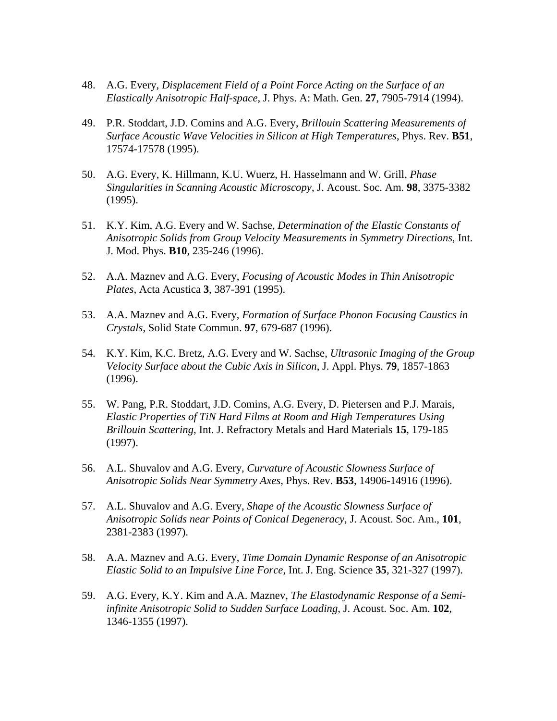- 48. A.G. Every, *Displacement Field of a Point Force Acting on the Surface of an Elastically Anisotropic Half-space*, J. Phys. A: Math. Gen. **27**, 7905-7914 (1994).
- 49. P.R. Stoddart, J.D. Comins and A.G. Every, *Brillouin Scattering Measurements of Surface Acoustic Wave Velocities in Silicon at High Temperatures*, Phys. Rev. **B51**, 17574-17578 (1995).
- 50. A.G. Every, K. Hillmann, K.U. Wuerz, H. Hasselmann and W. Grill, *Phase Singularities in Scanning Acoustic Microscopy*, J. Acoust. Soc. Am. **98**, 3375-3382 (1995).
- 51. K.Y. Kim, A.G. Every and W. Sachse, *Determination of the Elastic Constants of Anisotropic Solids from Group Velocity Measurements in Symmetry Directions*, Int. J. Mod. Phys. **B10**, 235-246 (1996).
- 52. A.A. Maznev and A.G. Every, *Focusing of Acoustic Modes in Thin Anisotropic Plates*, Acta Acustica **3**, 387-391 (1995).
- 53. A.A. Maznev and A.G. Every, *Formation of Surface Phonon Focusing Caustics in Crystals*, Solid State Commun. **97**, 679-687 (1996).
- 54. K.Y. Kim, K.C. Bretz, A.G. Every and W. Sachse, *Ultrasonic Imaging of the Group Velocity Surface about the Cubic Axis in Silicon*, J. Appl. Phys. **79**, 1857-1863 (1996).
- 55. W. Pang, P.R. Stoddart, J.D. Comins, A.G. Every, D. Pietersen and P.J. Marais, *Elastic Properties of TiN Hard Films at Room and High Temperatures Using Brillouin Scattering*, Int. J. Refractory Metals and Hard Materials **15**, 179-185 (1997).
- 56. A.L. Shuvalov and A.G. Every, *Curvature of Acoustic Slowness Surface of Anisotropic Solids Near Symmetry Axes*, Phys. Rev. **B53**, 14906-14916 (1996).
- 57. A.L. Shuvalov and A.G. Every, *Shape of the Acoustic Slowness Surface of Anisotropic Solids near Points of Conical Degeneracy*, J. Acoust. Soc. Am., **101**, 2381-2383 (1997).
- 58. A.A. Maznev and A.G. Every, *Time Domain Dynamic Response of an Anisotropic Elastic Solid to an Impulsive Line Force*, Int. J. Eng. Science **35**, 321-327 (1997).
- 59. A.G. Every, K.Y. Kim and A.A. Maznev, *The Elastodynamic Response of a Semi infinite Anisotropic Solid to Sudden Surface Loading*, J. Acoust. Soc. Am. **102**, 1346-1355 (1997).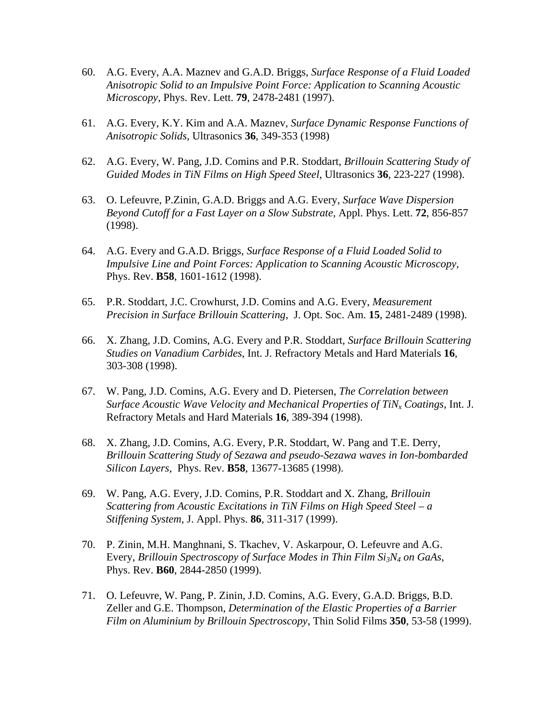- 60. A.G. Every, A.A. Maznev and G.A.D. Briggs, *Surface Response of a Fluid Loaded Anisotropic Solid to an Impulsive Point Force: Application to Scanning Acoustic Microscopy*, Phys. Rev. Lett. **79**, 2478-2481 (1997).
- 61. A.G. Every, K.Y. Kim and A.A. Maznev, *Surface Dynamic Response Functions of Anisotropic Solids*, Ultrasonics **36**, 349-353 (1998)
- 62. A.G. Every, W. Pang, J.D. Comins and P.R. Stoddart, *Brillouin Scattering Study of Guided Modes in TiN Films on High Speed Steel*, Ultrasonics **36**, 223-227 (1998).
- 63. O. Lefeuvre, P.Zinin, G.A.D. Briggs and A.G. Every, *Surface Wave Dispersion Beyond Cutoff for a Fast Layer on a Slow Substrate*, Appl. Phys. Lett. **72**, 856-857 (1998).
- 64. A.G. Every and G.A.D. Briggs, *Surface Response of a Fluid Loaded Solid to Impulsive Line and Point Forces: Application to Scanning Acoustic Microscopy*, Phys. Rev. **B58**, 1601-1612 (1998).
- 65. P.R. Stoddart, J.C. Crowhurst, J.D. Comins and A.G. Every, *Measurement Precision in Surface Brillouin Scattering*, J. Opt. Soc. Am. **15**, 2481-2489 (1998).
- 66. X. Zhang, J.D. Comins, A.G. Every and P.R. Stoddart*, Surface Brillouin Scattering Studies on Vanadium Carbides*, Int. J. Refractory Metals and Hard Materials **16**, 303-308 (1998).
- 67. W. Pang, J.D. Comins, A.G. Every and D. Pietersen, *The Correlation between Surface Acoustic Wave Velocity and Mechanical Properties of TiNx Coatings*, Int. J. Refractory Metals and Hard Materials **16**, 389-394 (1998).
- 68. X. Zhang, J.D. Comins, A.G. Every, P.R. Stoddart, W. Pang and T.E. Derry, *Brillouin Scattering Study of Sezawa and pseudo-Sezawa waves in Ion-bombarded Silicon Layers*, Phys. Rev. **B58**, 13677-13685 (1998).
- 69. W. Pang, A.G. Every, J.D. Comins, P.R. Stoddart and X. Zhang, *Brillouin Scattering from Acoustic Excitations in TiN Films on High Speed Steel – a Stiffening System*, J. Appl. Phys. **86**, 311-317 (1999).
- 70. P. Zinin, M.H. Manghnani, S. Tkachev, V. Askarpour, O. Lefeuvre and A.G. Every, *Brillouin Spectroscopy of Surface Modes in Thin Film Si3N4 on GaAs*, Phys. Rev. **B60**, 2844-2850 (1999).
- 71. O. Lefeuvre, W. Pang, P. Zinin, J.D. Comins, A.G. Every, G.A.D. Briggs, B.D. Zeller and G.E. Thompson, *Determination of the Elastic Properties of a Barrier Film on Aluminium by Brillouin Spectroscopy*, Thin Solid Films **350**, 53-58 (1999).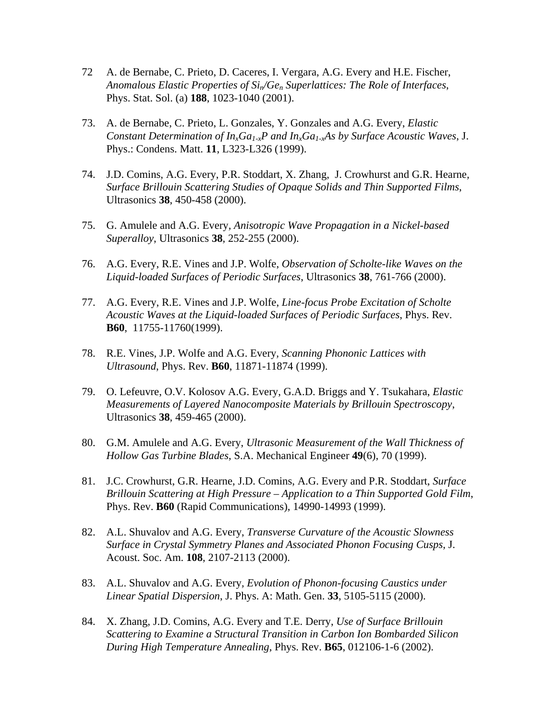- 72 A. de Bernabe, C. Prieto, D. Caceres, I. Vergara, A.G. Every and H.E. Fischer, *Anomalous Elastic Properties of Sin/Gen Superlattices: The Role of Interfaces*, Phys. Stat. Sol. (a) **188**, 1023-1040 (2001).
- 73. A. de Bernabe, C. Prieto, L. Gonzales, Y. Gonzales and A.G. Every, *Elastic Constant Determination of*  $In_xGa_{1x}P$  *and*  $In_xGa_{1x}As$  *by Surface Acoustic Waves, J.* Phys.: Condens. Matt. **11**, L323-L326 (1999).
- 74. J.D. Comins, A.G. Every, P.R. Stoddart, X. Zhang, J. Crowhurst and G.R. Hearne*, Surface Brillouin Scattering Studies of Opaque Solids and Thin Supported Films*, Ultrasonics **38**, 450-458 (2000).
- 75. G. Amulele and A.G. Every*, Anisotropic Wave Propagation in a Nickel-based Superalloy*, Ultrasonics **38**, 252-255 (2000).
- 76. A.G. Every, R.E. Vines and J.P. Wolfe, *Observation of Scholte-like Waves on the Liquid-loaded Surfaces of Periodic Surfaces*, Ultrasonics **38**, 761-766 (2000).
- 77. A.G. Every, R.E. Vines and J.P. Wolfe, *Line-focus Probe Excitation of Scholte Acoustic Waves at the Liquid-loaded Surfaces of Periodic Surfaces*, Phys. Rev. **B60**, 11755-11760(1999).
- 78. R.E. Vines, J.P. Wolfe and A.G. Every*, Scanning Phononic Lattices with Ultrasound*, Phys. Rev. **B60**, 11871-11874 (1999).
- 79. O. Lefeuvre, O.V. Kolosov A.G. Every, G.A.D. Briggs and Y. Tsukahara, *Elastic Measurements of Layered Nanocomposite Materials by Brillouin Spectroscopy*, Ultrasonics **38**, 459-465 (2000).
- 80. G.M. Amulele and A.G. Every, *Ultrasonic Measurement of the Wall Thickness of Hollow Gas Turbine Blades*, S.A. Mechanical Engineer **49**(6), 70 (1999).
- 81. J.C. Crowhurst, G.R. Hearne, J.D. Comins, A.G. Every and P.R. Stoddart, *Surface Brillouin Scattering at High Pressure – Application to a Thin Supported Gold Film*, Phys. Rev. **B60** (Rapid Communications), 14990-14993 (1999).
- 82. A.L. Shuvalov and A.G. Every, *Transverse Curvature of the Acoustic Slowness Surface in Crystal Symmetry Planes and Associated Phonon Focusing Cusps*, J. Acoust. Soc. Am. **108**, 2107-2113 (2000).
- 83. A.L. Shuvalov and A.G. Every*, Evolution of Phonon-focusing Caustics under Linear Spatial Dispersion*, J. Phys. A: Math. Gen. **33**, 5105-5115 (2000).
- 84. X. Zhang, J.D. Comins, A.G. Every and T.E. Derry, *Use of Surface Brillouin Scattering to Examine a Structural Transition in Carbon Ion Bombarded Silicon During High Temperature Annealing*, Phys. Rev. **B65**, 012106-1-6 (2002).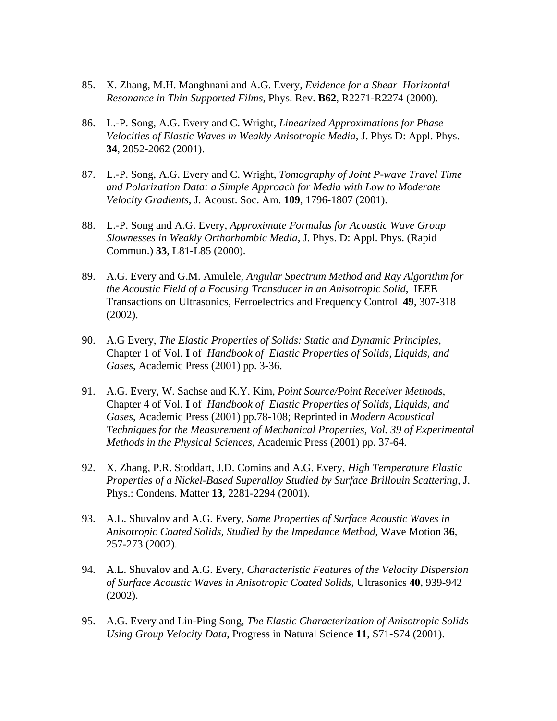- 85. X. Zhang, M.H. Manghnani and A.G. Every*, Evidence for a Shear Horizontal Resonance in Thin Supported Films*, Phys. Rev. **B62**, R2271-R2274 (2000).
- 86. L.-P. Song, A.G. Every and C. Wright, *Linearized Approximations for Phase Velocities of Elastic Waves in Weakly Anisotropic Media*, J. Phys D: Appl. Phys. **34**, 2052-2062 (2001).
- 87. L.-P. Song, A.G. Every and C. Wright, *Tomography of Joint P-wave Travel Time and Polarization Data: a Simple Approach for Media with Low to Moderate Velocity Gradients*, J. Acoust. Soc. Am. **109**, 1796-1807 (2001).
- 88. L.-P. Song and A.G. Every, *Approximate Formulas for Acoustic Wave Group Slownesses in Weakly Orthorhombic Media*, J. Phys. D: Appl. Phys. (Rapid Commun.) **33**, L81-L85 (2000).
- 89. A.G. Every and G.M. Amulele, *Angular Spectrum Method and Ray Algorithm for the Acoustic Field of a Focusing Transducer in an Anisotropic Solid*, IEEE Transactions on Ultrasonics, Ferroelectrics and Frequency Control **49**, 307-318 (2002).
- 90. A.G Every, *The Elastic Properties of Solids: Static and Dynamic Principles*, Chapter 1 of Vol. **I** of *Handbook of Elastic Properties of Solids, Liquids, and Gases*, Academic Press (2001) pp. 3-36.
- 91. A.G. Every, W. Sachse and K.Y. Kim, *Point Source/Point Receiver Methods*, Chapter 4 of Vol. **I** of *Handbook of Elastic Properties of Solids, Liquids, and Gases*, Academic Press (2001) pp.78-108; Reprinted in *Modern Acoustical Techniques for the Measurement of Mechanical Properties, Vol. 39 of Experimental Methods in the Physical Sciences*, Academic Press (2001) pp. 37-64.
- 92. X. Zhang, P.R. Stoddart, J.D. Comins and A.G. Every, *High Temperature Elastic Properties of a Nickel-Based Superalloy Studied by Surface Brillouin Scattering,* J. Phys.: Condens. Matter **13**, 2281-2294 (2001).
- 93. A.L. Shuvalov and A.G. Every, *Some Properties of Surface Acoustic Waves in Anisotropic Coated Solids, Studied by the Impedance Method*, Wave Motion **36**, 257-273 (2002).
- 94. A.L. Shuvalov and A.G. Every, *Characteristic Features of the Velocity Dispersion of Surface Acoustic Waves in Anisotropic Coated Solids*, Ultrasonics **40**, 939-942 (2002).
- 95. A.G. Every and Lin-Ping Song, *The Elastic Characterization of Anisotropic Solids Using Group Velocity Data*, Progress in Natural Science **11**, S71-S74 (2001).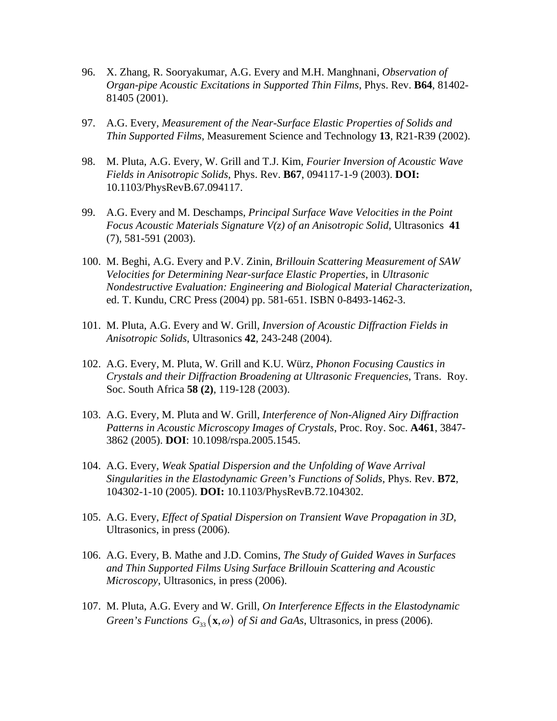- 96. X. Zhang, R. Sooryakumar, A.G. Every and M.H. Manghnani, *Observation of Organ-pipe Acoustic Excitations in Supported Thin Films*, Phys. Rev. **B64**, 81402- 81405 (2001).
- 97. A.G. Every, *Measurement of the Near-Surface Elastic Properties of Solids and Thin Supported Films*, Measurement Science and Technology **13**, R21-R39 (2002).
- 98. M. Pluta, A.G. Every, W. Grill and T.J. Kim, *Fourier Inversion of Acoustic Wave Fields in Anisotropic Solids*, Phys. Rev. **B67**, 094117-1-9 (2003). **DOI:**  10.1103/PhysRevB.67.094117.
- 99. A.G. Every and M. Deschamps, *Principal Surface Wave Velocities in the Point Focus Acoustic Materials Signature V(z) of an Anisotropic Solid*, Ultrasonics **41** (7), 581-591 (2003).
- 100. M. Beghi, A.G. Every and P.V. Zinin, *Brillouin Scattering Measurement of SAW Velocities for Determining Near-surface Elastic Properties*, in *Ultrasonic Nondestructive Evaluation: Engineering and Biological Material Characterization*, ed. T. Kundu, CRC Press (2004) pp. 581-651. ISBN 0-8493-1462-3.
- 101. M. Pluta, A.G. Every and W. Grill, *Inversion of Acoustic Diffraction Fields in Anisotropic Solids*, Ultrasonics **42**, 243-248 (2004).
- 102. A.G. Every, M. Pluta, W. Grill and K.U. Würz, *Phonon Focusing Caustics in Crystals and their Diffraction Broadening at Ultrasonic Frequencies*, Trans. Roy. Soc. South Africa **58 (2)**, 119-128 (2003).
- 103. A.G. Every, M. Pluta and W. Grill, *Interference of Non-Aligned Airy Diffraction Patterns in Acoustic Microscopy Images of Crystals*, Proc. Roy. Soc. **A461**, 3847- 3862 (2005). **DOI**: 10.1098/rspa.2005.1545.
- 104. A.G. Every, *Weak Spatial Dispersion and the Unfolding of Wave Arrival Singularities in the Elastodynamic Green's Functions of Solids*, Phys. Rev. **B72**, 104302-1-10 (2005). **DOI:** 10.1103/PhysRevB.72.104302.
- 105. A.G. Every, *Effect of Spatial Dispersion on Transient Wave Propagation in 3D,*  Ultrasonics, in press (2006).
- 106. A.G. Every, B. Mathe and J.D. Comins, *The Study of Guided Waves in Surfaces and Thin Supported Films Using Surface Brillouin Scattering and Acoustic Microscopy*, Ultrasonics, in press (2006).
- 107. M. Pluta, A.G. Every and W. Grill, *On Interference Effects in the Elastodynamic Green's Functions*  $G_{33}(\mathbf{x}, \omega)$  *of Si and GaAs*, Ultrasonics, in press (2006).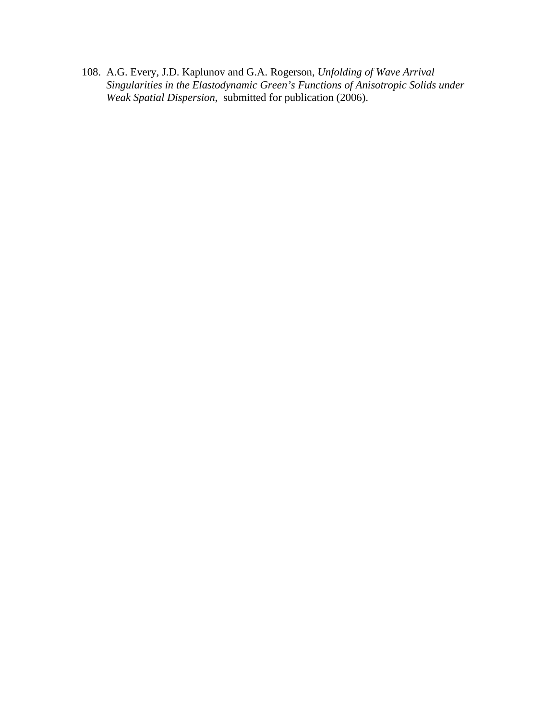108. A.G. Every, J.D. Kaplunov and G.A. Rogerson, *Unfolding of Wave Arrival Singularities in the Elastodynamic Green's Functions of Anisotropic Solids under Weak Spatial Dispersion*, submitted for publication (2006).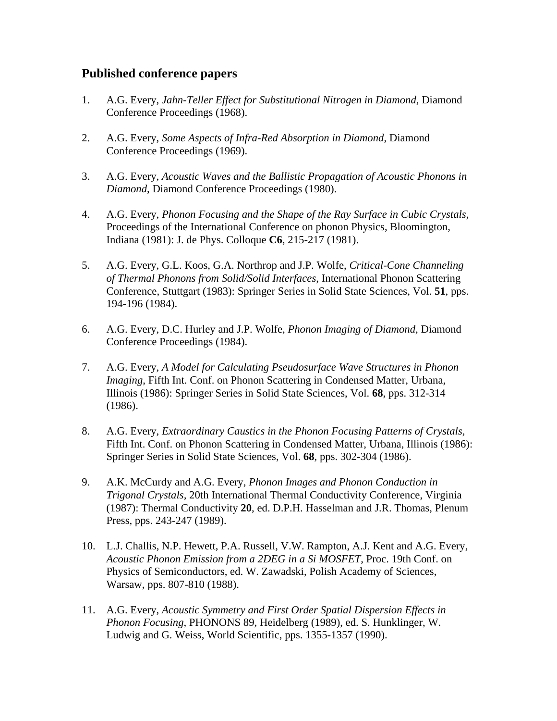### **Published conference papers**

- 1. A.G. Every, *Jahn-Teller Effect for Substitutional Nitrogen in Diamond*, Diamond Conference Proceedings (1968).
- 2. A.G. Every, *Some Aspects of Infra-Red Absorption in Diamond*, Diamond Conference Proceedings (1969).
- 3. A.G. Every, *Acoustic Waves and the Ballistic Propagation of Acoustic Phonons in Diamond*, Diamond Conference Proceedings (1980).
- 4. A.G. Every, *Phonon Focusing and the Shape of the Ray Surface in Cubic Crystals,*  Proceedings of the International Conference on phonon Physics, Bloomington, Indiana (1981): J. de Phys. Colloque **C6**, 215-217 (1981).
- 5. A.G. Every, G.L. Koos, G.A. Northrop and J.P. Wolfe, *Critical-Cone Channeling of Thermal Phonons from Solid/Solid Interfaces*, International Phonon Scattering Conference, Stuttgart (1983): Springer Series in Solid State Sciences, Vol. **51**, pps. 194-196 (1984).
- 6. A.G. Every, D.C. Hurley and J.P. Wolfe, *Phonon Imaging of Diamond,* Diamond Conference Proceedings (1984).
- 7. A.G. Every, *A Model for Calculating Pseudosurface Wave Structures in Phonon Imaging*, Fifth Int. Conf. on Phonon Scattering in Condensed Matter, Urbana, Illinois (1986): Springer Series in Solid State Sciences, Vol. **68**, pps. 312-314 (1986).
- 8. A.G. Every, *Extraordinary Caustics in the Phonon Focusing Patterns of Crystals,*  Fifth Int. Conf. on Phonon Scattering in Condensed Matter, Urbana, Illinois (1986): Springer Series in Solid State Sciences, Vol. **68**, pps. 302-304 (1986).
- 9. A.K. McCurdy and A.G. Every, *Phonon Images and Phonon Conduction in Trigonal Crystals,* 20th International Thermal Conductivity Conference, Virginia (1987): Thermal Conductivity **20**, ed. D.P.H. Hasselman and J.R. Thomas, Plenum Press, pps. 243-247 (1989).
- 10. L.J. Challis, N.P. Hewett, P.A. Russell, V.W. Rampton, A.J. Kent and A.G. Every, *Acoustic Phonon Emission from a 2DEG in a Si MOSFET*, Proc. 19th Conf. on Physics of Semiconductors, ed. W. Zawadski, Polish Academy of Sciences, Warsaw, pps. 807-810 (1988).
- 11. A.G. Every, *Acoustic Symmetry and First Order Spatial Dispersion Effects in Phonon Focusing*, PHONONS 89, Heidelberg (1989), ed. S. Hunklinger, W. Ludwig and G. Weiss, World Scientific, pps. 1355-1357 (1990).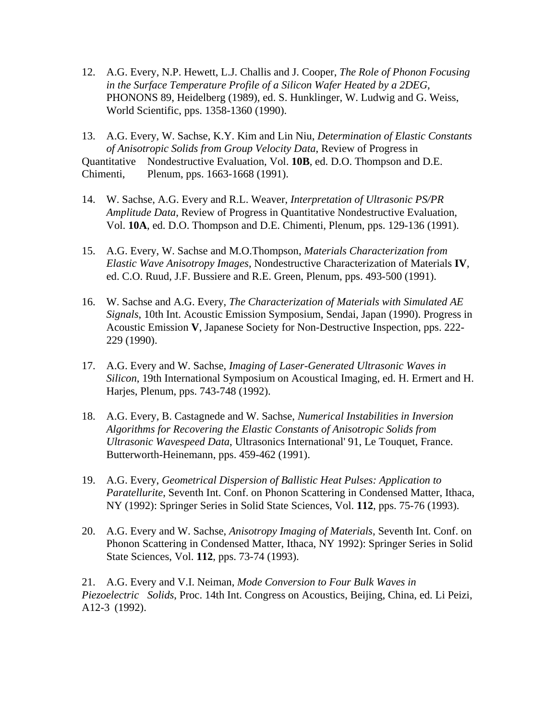12. A.G. Every, N.P. Hewett, L.J. Challis and J. Cooper, *The Role of Phonon Focusing in the Surface Temperature Profile of a Silicon Wafer Heated by a 2DEG*, PHONONS 89, Heidelberg (1989), ed. S. Hunklinger, W. Ludwig and G. Weiss, World Scientific, pps. 1358-1360 (1990).

13. A.G. Every, W. Sachse, K.Y. Kim and Lin Niu, *Determination of Elastic Constants of Anisotropic Solids from Group Velocity Data*, Review of Progress in Quantitative Nondestructive Evaluation, Vol. **10B**, ed. D.O. Thompson and D.E. Chimenti, Plenum, pps. 1663-1668 (1991).

- 14. W. Sachse, A.G. Every and R.L. Weaver, *Interpretation of Ultrasonic PS/PR Amplitude Data*, Review of Progress in Quantitative Nondestructive Evaluation, Vol. **10A**, ed. D.O. Thompson and D.E. Chimenti, Plenum, pps. 129-136 (1991).
- 15. A.G. Every, W. Sachse and M.O.Thompson, *Materials Characterization from Elastic Wave Anisotropy Images*, Nondestructive Characterization of Materials **IV**, ed. C.O. Ruud, J.F. Bussiere and R.E. Green, Plenum, pps. 493-500 (1991).
- 16. W. Sachse and A.G. Every, *The Characterization of Materials with Simulated AE Signals*, 10th Int. Acoustic Emission Symposium, Sendai, Japan (1990). Progress in Acoustic Emission **V**, Japanese Society for Non-Destructive Inspection, pps. 222- 229 (1990).
- 17. A.G. Every and W. Sachse, *Imaging of Laser-Generated Ultrasonic Waves in Silicon*, 19th International Symposium on Acoustical Imaging, ed. H. Ermert and H. Harjes, Plenum, pps. 743-748 (1992).
- 18. A.G. Every, B. Castagnede and W. Sachse, *Numerical Instabilities in Inversion Algorithms for Recovering the Elastic Constants of Anisotropic Solids from Ultrasonic Wavespeed Data*, Ultrasonics International' 91, Le Touquet, France. Butterworth-Heinemann, pps. 459-462 (1991).
- 19. A.G. Every, *Geometrical Dispersion of Ballistic Heat Pulses: Application to Paratellurite*, Seventh Int. Conf. on Phonon Scattering in Condensed Matter, Ithaca, NY (1992): Springer Series in Solid State Sciences, Vol. **112**, pps. 75-76 (1993).
- 20. A.G. Every and W. Sachse, *Anisotropy Imaging of Materials*, Seventh Int. Conf. on Phonon Scattering in Condensed Matter, Ithaca, NY 1992): Springer Series in Solid State Sciences, Vol. **112**, pps. 73-74 (1993).

21. A.G. Every and V.I. Neiman, *Mode Conversion to Four Bulk Waves in Piezoelectric Solids*, Proc. 14th Int. Congress on Acoustics, Beijing, China, ed. Li Peizi, A12-3 (1992).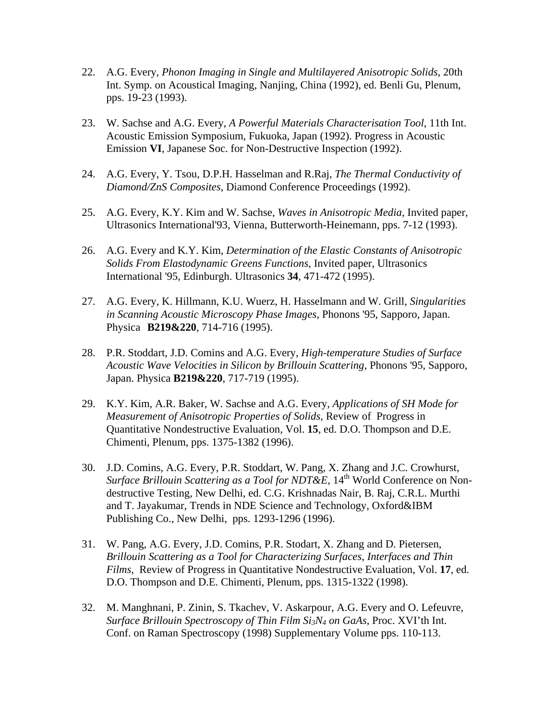- 22. A.G. Every, *Phonon Imaging in Single and Multilayered Anisotropic Solids*, 20th Int. Symp. on Acoustical Imaging, Nanjing, China (1992), ed. Benli Gu, Plenum, pps. 19-23 (1993).
- 23. W. Sachse and A.G. Every, *A Powerful Materials Characterisation Tool*, 11th Int. Acoustic Emission Symposium, Fukuoka, Japan (1992). Progress in Acoustic Emission **VI**, Japanese Soc. for Non-Destructive Inspection (1992).
- 24. A.G. Every, Y. Tsou, D.P.H. Hasselman and R.Raj, *The Thermal Conductivity of Diamond/ZnS Composites*, Diamond Conference Proceedings (1992).
- 25. A.G. Every, K.Y. Kim and W. Sachse, *Waves in Anisotropic Media*, Invited paper, Ultrasonics International'93, Vienna, Butterworth-Heinemann, pps. 7-12 (1993).
- 26. A.G. Every and K.Y. Kim, *Determination of the Elastic Constants of Anisotropic Solids From Elastodynamic Greens Functions*, Invited paper, Ultrasonics International '95, Edinburgh. Ultrasonics **34**, 471-472 (1995).
- 27. A.G. Every, K. Hillmann, K.U. Wuerz, H. Hasselmann and W. Grill, *Singularities in Scanning Acoustic Microscopy Phase Images*, Phonons '95, Sapporo, Japan. Physica **B219&220**, 714-716 (1995).
- 28. P.R. Stoddart, J.D. Comins and A.G. Every, *High-temperature Studies of Surface Acoustic Wave Velocities in Silicon by Brillouin Scattering*, Phonons '95, Sapporo, Japan. Physica **B219&220**, 717-719 (1995).
- 29. K.Y. Kim, A.R. Baker, W. Sachse and A.G. Every, *Applications of SH Mode for Measurement of Anisotropic Properties of Solids*, Review of Progress in Quantitative Nondestructive Evaluation, Vol. **15**, ed. D.O. Thompson and D.E. Chimenti, Plenum, pps. 1375-1382 (1996).
- 30. J.D. Comins, A.G. Every, P.R. Stoddart, W. Pang, X. Zhang and J.C. Crowhurst, *Surface Brillouin Scattering as a Tool for NDT&E, 14<sup>th</sup> World Conference on Non* destructive Testing, New Delhi, ed. C.G. Krishnadas Nair, B. Raj, C.R.L. Murthi and T. Jayakumar, Trends in NDE Science and Technology, Oxford&IBM Publishing Co., New Delhi, pps. 1293-1296 (1996).
- 31. W. Pang, A.G. Every, J.D. Comins, P.R. Stodart, X. Zhang and D. Pietersen, *Brillouin Scattering as a Tool for Characterizing Surfaces, Interfaces and Thin Films*, Review of Progress in Quantitative Nondestructive Evaluation, Vol. **17**, ed. D.O. Thompson and D.E. Chimenti, Plenum, pps. 1315-1322 (1998).
- 32. M. Manghnani, P. Zinin, S. Tkachev, V. Askarpour, A.G. Every and O. Lefeuvre, *Surface Brillouin Spectroscopy of Thin Film Si3N4 on GaAs*, Proc. XVI'th Int. Conf. on Raman Spectroscopy (1998) Supplementary Volume pps. 110-113.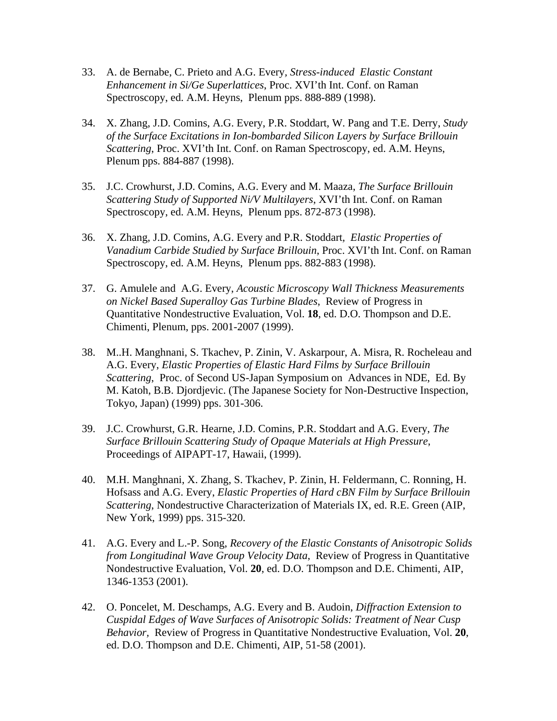- 33. A. de Bernabe, C. Prieto and A.G. Every*, Stress-induced Elastic Constant Enhancement in Si/Ge Superlattices*, Proc. XVI'th Int. Conf. on Raman Spectroscopy, ed. A.M. Heyns, Plenum pps. 888-889 (1998).
- 34. X. Zhang, J.D. Comins, A.G. Every, P.R. Stoddart, W. Pang and T.E. Derry, *Study of the Surface Excitations in Ion-bombarded Silicon Layers by Surface Brillouin Scattering*, Proc. XVI'th Int. Conf. on Raman Spectroscopy, ed. A.M. Heyns, Plenum pps. 884-887 (1998).
- 35. J.C. Crowhurst, J.D. Comins, A.G. Every and M. Maaza, *The Surface Brillouin Scattering Study of Supported Ni/V Multilayers*, XVI'th Int. Conf. on Raman Spectroscopy, ed. A.M. Heyns, Plenum pps. 872-873 (1998).
- 36. X. Zhang, J.D. Comins, A.G. Every and P.R. Stoddart*, Elastic Properties of Vanadium Carbide Studied by Surface Brillouin*, Proc. XVI'th Int. Conf. on Raman Spectroscopy, ed. A.M. Heyns, Plenum pps. 882-883 (1998).
- 37. G. Amulele and A.G. Every, *Acoustic Microscopy Wall Thickness Measurements on Nickel Based Superalloy Gas Turbine Blades*, Review of Progress in Quantitative Nondestructive Evaluation, Vol. **18**, ed. D.O. Thompson and D.E. Chimenti, Plenum, pps. 2001-2007 (1999).
- 38. M..H. Manghnani, S. Tkachev, P. Zinin, V. Askarpour, A. Misra, R. Rocheleau and A.G. Every, *Elastic Properties of Elastic Hard Films by Surface Brillouin Scattering*, Proc. of Second US-Japan Symposium on Advances in NDE, Ed. By M. Katoh, B.B. Djordjevic. (The Japanese Society for Non-Destructive Inspection, Tokyo, Japan) (1999) pps. 301-306.
- 39. J.C. Crowhurst, G.R. Hearne, J.D. Comins, P.R. Stoddart and A.G. Every, *The Surface Brillouin Scattering Study of Opaque Materials at High Pressure*, Proceedings of AIPAPT-17, Hawaii, (1999).
- 40. M.H. Manghnani, X. Zhang, S. Tkachev, P. Zinin, H. Feldermann, C. Ronning, H. Hofsass and A.G. Every, *Elastic Properties of Hard cBN Film by Surface Brillouin Scattering*, Nondestructive Characterization of Materials IX, ed. R.E. Green (AIP, New York, 1999) pps. 315-320.
- 41. A.G. Every and L.-P. Song, *Recovery of the Elastic Constants of Anisotropic Solids from Longitudinal Wave Group Velocity Data*, Review of Progress in Quantitative Nondestructive Evaluation, Vol. **20**, ed. D.O. Thompson and D.E. Chimenti, AIP, 1346-1353 (2001).
- 42. O. Poncelet, M. Deschamps, A.G. Every and B. Audoin, *Diffraction Extension to Cuspidal Edges of Wave Surfaces of Anisotropic Solids: Treatment of Near Cusp Behavior,* Review of Progress in Quantitative Nondestructive Evaluation, Vol. **20**, ed. D.O. Thompson and D.E. Chimenti, AIP, 51-58 (2001).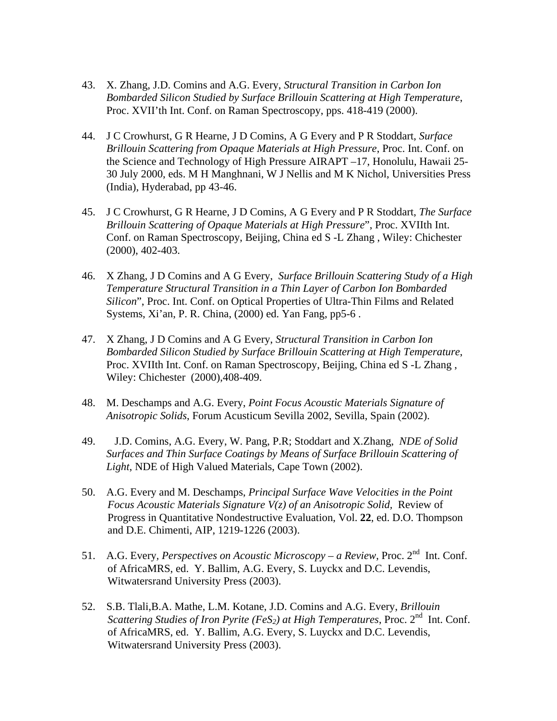- 43. X. Zhang, J.D. Comins and A.G. Every, *Structural Transition in Carbon Ion Bombarded Silicon Studied by Surface Brillouin Scattering at High Temperature*, Proc. XVII'th Int. Conf. on Raman Spectroscopy, pps. 418-419 (2000).
- 44. J C Crowhurst, G R Hearne, J D Comins, A G Every and P R Stoddart, *Surface Brillouin Scattering from Opaque Materials at High Pressure*, Proc. Int. Conf. on the Science and Technology of High Pressure AIRAPT –17, Honolulu, Hawaii 25- 30 July 2000, eds. M H Manghnani, W J Nellis and M K Nichol, Universities Press (India), Hyderabad, pp 43-46.
- 45. J C Crowhurst, G R Hearne, J D Comins, A G Every and P R Stoddart, *The Surface Brillouin Scattering of Opaque Materials at High Pressure*", Proc. XVIIth Int. Conf. on Raman Spectroscopy, Beijing, China ed S -L Zhang , Wiley: Chichester (2000), 402-403.
- 46. X Zhang, J D Comins and A G Every, *Surface Brillouin Scattering Study of a High Temperature Structural Transition in a Thin Layer of Carbon Ion Bombarded Silicon*", Proc. Int. Conf. on Optical Properties of Ultra-Thin Films and Related Systems, Xi'an, P. R. China, (2000) ed. Yan Fang, pp5-6 .
- 47. X Zhang, J D Comins and A G Every, *Structural Transition in Carbon Ion Bombarded Silicon Studied by Surface Brillouin Scattering at High Temperature*, Proc. XVIIth Int. Conf. on Raman Spectroscopy, Beijing, China ed S -L Zhang , Wiley: Chichester (2000),408-409.
- 48. M. Deschamps and A.G. Every, *Point Focus Acoustic Materials Signature of Anisotropic Solids*, Forum Acusticum Sevilla 2002, Sevilla, Spain (2002).
- 49. J.D. Comins, A.G. Every, W. Pang, P.R; Stoddart and X.Zhang, *NDE of Solid Surfaces and Thin Surface Coatings by Means of Surface Brillouin Scattering of Light*, NDE of High Valued Materials, Cape Town (2002).
- 50. A.G. Every and M. Deschamps, *Principal Surface Wave Velocities in the Point Focus Acoustic Materials Signature V(z) of an Anisotropic Solid,* Review of Progress in Quantitative Nondestructive Evaluation, Vol. **22**, ed. D.O. Thompson and D.E. Chimenti, AIP, 1219-1226 (2003).
- 51. A.G. Every, *Perspectives on Acoustic Microscopy a Review*, Proc. 2<sup>nd</sup> Int. Conf. of AfricaMRS, ed. Y. Ballim, A.G. Every, S. Luyckx and D.C. Levendis, Witwatersrand University Press (2003).
- 52. S.B. Tlali,B.A. Mathe, L.M. Kotane, J.D. Comins and A.G. Every, *Brillouin Scattering Studies of Iron Pyrite (FeS<sub>2</sub>) at High Temperatures*, Proc.  $2^{nd}$  Int. Conf. of AfricaMRS, ed. Y. Ballim, A.G. Every, S. Luyckx and D.C. Levendis, Witwatersrand University Press (2003).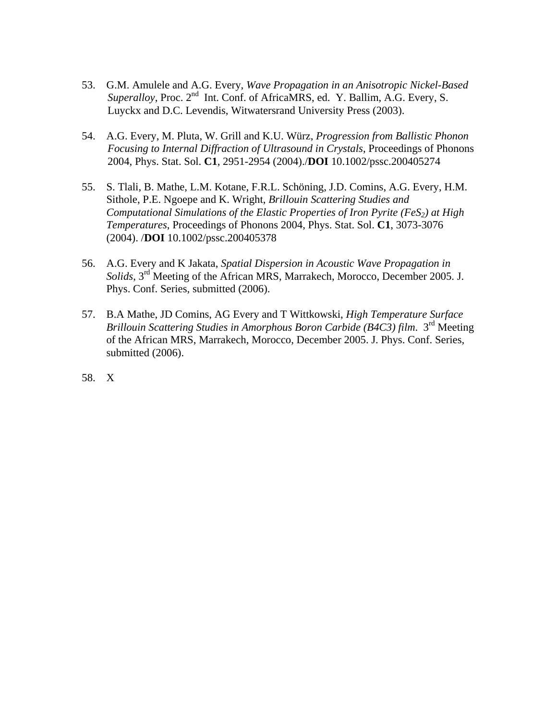- 53. G.M. Amulele and A.G. Every, *Wave Propagation in an Anisotropic Nickel-Based Superalloy*, Proc. 2<sup>nd</sup> Int. Conf. of AfricaMRS, ed. Y. Ballim, A.G. Every, S. Luyckx and D.C. Levendis, Witwatersrand University Press (2003).
- 54. A.G. Every, M. Pluta, W. Grill and K.U. Würz, *Progression from Ballistic Phonon Focusing to Internal Diffraction of Ultrasound in Crystals*, Proceedings of Phonons 2004, Phys. Stat. Sol. **C1**, 2951-2954 (2004)./**DOI** 10.1002/pssc.200405274
- 55. S. Tlali, B. Mathe, L.M. Kotane, F.R.L. Schöning, J.D. Comins, A.G. Every, H.M. Sithole, P.E. Ngoepe and K. Wright, *Brillouin Scattering Studies and Computational Simulations of the Elastic Properties of Iron Pyrite (FeS<sub>2</sub>) at High Temperatures*, Proceedings of Phonons 2004, Phys. Stat. Sol. **C1**, 3073-3076 (2004). /**DOI** 10.1002/pssc.200405378
- 56. A.G. Every and K Jakata, *Spatial Dispersion in Acoustic Wave Propagation in Solids*, 3rd Meeting of the African MRS, Marrakech, Morocco, December 2005. J. Phys. Conf. Series, submitted (2006).
- 57. B.A Mathe, JD Comins, AG Every and T Wittkowski, *High Temperature Surface Brillouin Scattering Studies in Amorphous Boron Carbide (B4C3) film*. 3rd Meeting of the African MRS, Marrakech, Morocco, December 2005. J. Phys. Conf. Series, submitted (2006).
- 58. X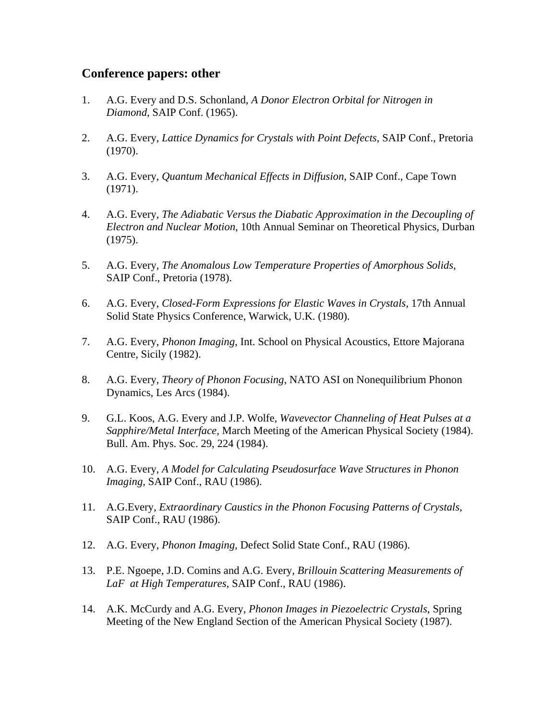### **Conference papers: other**

- 1. A.G. Every and D.S. Schonland, *A Donor Electron Orbital for Nitrogen in Diamond*, SAIP Conf. (1965).
- 2. A.G. Every, *Lattice Dynamics for Crystals with Point Defects*, SAIP Conf., Pretoria (1970).
- 3. A.G. Every, *Quantum Mechanical Effects in Diffusion*, SAIP Conf., Cape Town (1971).
- 4. A.G. Every, *The Adiabatic Versus the Diabatic Approximation in the Decoupling of Electron and Nuclear Motion*, 10th Annual Seminar on Theoretical Physics, Durban (1975).
- 5. A.G. Every, *The Anomalous Low Temperature Properties of Amorphous Solids,*  SAIP Conf., Pretoria (1978).
- 6. A.G. Every, *Closed-Form Expressions for Elastic Waves in Crystals,* 17th Annual Solid State Physics Conference, Warwick, U.K. (1980).
- 7. A.G. Every, *Phonon Imaging*, Int. School on Physical Acoustics, Ettore Majorana Centre, Sicily (1982).
- 8. A.G. Every, *Theory of Phonon Focusing*, NATO ASI on Nonequilibrium Phonon Dynamics, Les Arcs (1984).
- 9. G.L. Koos, A.G. Every and J.P. Wolfe, *Wavevector Channeling of Heat Pulses at a Sapphire/Metal Interface*, March Meeting of the American Physical Society (1984). Bull. Am. Phys. Soc. 29, 224 (1984).
- 10. A.G. Every, *A Model for Calculating Pseudosurface Wave Structures in Phonon Imaging*, SAIP Conf., RAU (1986).
- 11. A.G.Every, *Extraordinary Caustics in the Phonon Focusing Patterns of Crystals*, SAIP Conf., RAU (1986).
- 12. A.G. Every, *Phonon Imaging*, Defect Solid State Conf., RAU (1986).
- 13. P.E. Ngoepe, J.D. Comins and A.G. Every, *Brillouin Scattering Measurements of LaF at High Temperatures*, SAIP Conf., RAU (1986).
- 14. A.K. McCurdy and A.G. Every, *Phonon Images in Piezoelectric Crystals*, Spring Meeting of the New England Section of the American Physical Society (1987).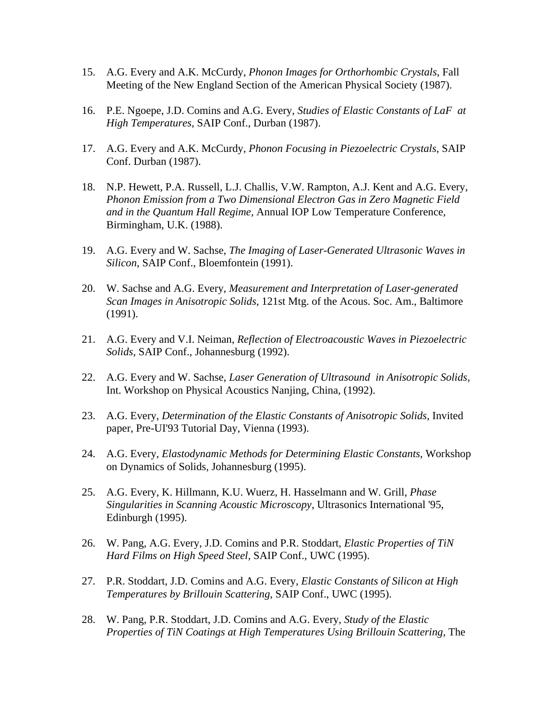- 15. A.G. Every and A.K. McCurdy, *Phonon Images for Orthorhombic Crystals*, Fall Meeting of the New England Section of the American Physical Society (1987).
- 16. P.E. Ngoepe, J.D. Comins and A.G. Every, *Studies of Elastic Constants of LaF at High Temperatures*, SAIP Conf., Durban (1987).
- 17. A.G. Every and A.K. McCurdy, *Phonon Focusing in Piezoelectric Crystals*, SAIP Conf. Durban (1987).
- 18. N.P. Hewett, P.A. Russell, L.J. Challis, V.W. Rampton, A.J. Kent and A.G. Every, *Phonon Emission from a Two Dimensional Electron Gas in Zero Magnetic Field and in the Quantum Hall Regime*, Annual IOP Low Temperature Conference, Birmingham, U.K. (1988).
- 19. A.G. Every and W. Sachse, *The Imaging of Laser-Generated Ultrasonic Waves in Silicon*, SAIP Conf., Bloemfontein (1991).
- 20. W. Sachse and A.G. Every, *Measurement and Interpretation of Laser-generated Scan Images in Anisotropic Solids*, 121st Mtg. of the Acous. Soc. Am., Baltimore (1991).
- 21. A.G. Every and V.I. Neiman, *Reflection of Electroacoustic Waves in Piezoelectric Solids*, SAIP Conf., Johannesburg (1992).
- 22. A.G. Every and W. Sachse, *Laser Generation of Ultrasound in Anisotropic Solids,*  Int. Workshop on Physical Acoustics Nanjing, China, (1992).
- 23. A.G. Every, *Determination of the Elastic Constants of Anisotropic Solids*, Invited paper, Pre-UI'93 Tutorial Day, Vienna (1993).
- 24. A.G. Every, *Elastodynamic Methods for Determining Elastic Constants*, Workshop on Dynamics of Solids, Johannesburg (1995).
- 25. A.G. Every, K. Hillmann, K.U. Wuerz, H. Hasselmann and W. Grill, *Phase Singularities in Scanning Acoustic Microscopy*, Ultrasonics International '95, Edinburgh (1995).
- 26. W. Pang, A.G. Every, J.D. Comins and P.R. Stoddart, *Elastic Properties of TiN Hard Films on High Speed Steel*, SAIP Conf., UWC (1995).
- 27. P.R. Stoddart, J.D. Comins and A.G. Every, *Elastic Constants of Silicon at High Temperatures by Brillouin Scattering*, SAIP Conf., UWC (1995).
- 28. W. Pang, P.R. Stoddart, J.D. Comins and A.G. Every, *Study of the Elastic Properties of TiN Coatings at High Temperatures Using Brillouin Scattering, The*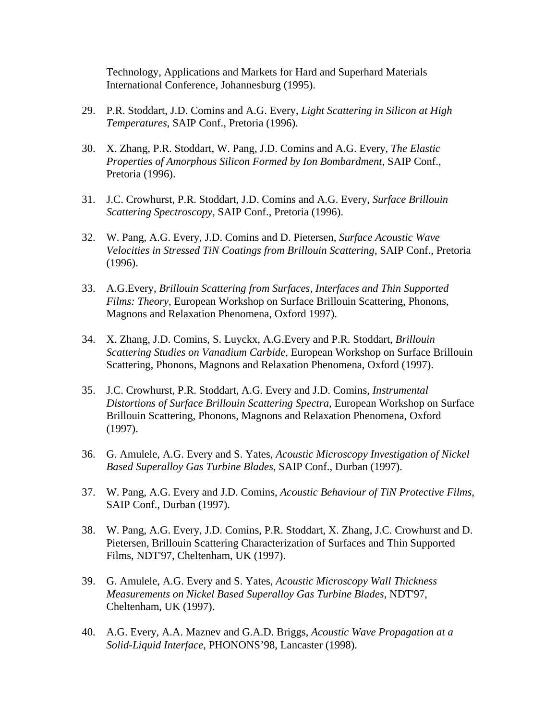Technology, Applications and Markets for Hard and Superhard Materials International Conference, Johannesburg (1995).

- 29. P.R. Stoddart, J.D. Comins and A.G. Every, *Light Scattering in Silicon at High Temperatures*, SAIP Conf., Pretoria (1996).
- 30. X. Zhang, P.R. Stoddart, W. Pang, J.D. Comins and A.G. Every, *The Elastic Properties of Amorphous Silicon Formed by Ion Bombardment*, SAIP Conf., Pretoria (1996).
- 31. J.C. Crowhurst, P.R. Stoddart, J.D. Comins and A.G. Every, *Surface Brillouin Scattering Spectroscopy*, SAIP Conf., Pretoria (1996).
- 32. W. Pang, A.G. Every, J.D. Comins and D. Pietersen, *Surface Acoustic Wave Velocities in Stressed TiN Coatings from Brillouin Scattering*, SAIP Conf., Pretoria (1996).
- 33. A.G.Every, *Brillouin Scattering from Surfaces, Interfaces and Thin Supported Films: Theory*, European Workshop on Surface Brillouin Scattering, Phonons, Magnons and Relaxation Phenomena, Oxford 1997).
- 34. X. Zhang, J.D. Comins, S. Luyckx, A.G.Every and P.R. Stoddart, *Brillouin Scattering Studies on Vanadium Carbide*, European Workshop on Surface Brillouin Scattering, Phonons, Magnons and Relaxation Phenomena, Oxford (1997).
- 35. J.C. Crowhurst, P.R. Stoddart, A.G. Every and J.D. Comins, *Instrumental Distortions of Surface Brillouin Scattering Spectra,* European Workshop on Surface Brillouin Scattering, Phonons, Magnons and Relaxation Phenomena, Oxford (1997).
- 36. G. Amulele, A.G. Every and S. Yates, *Acoustic Microscopy Investigation of Nickel Based Superalloy Gas Turbine Blades*, SAIP Conf., Durban (1997).
- 37. W. Pang, A.G. Every and J.D. Comins, *Acoustic Behaviour of TiN Protective Films*, SAIP Conf., Durban (1997).
- 38. W. Pang, A.G. Every, J.D. Comins, P.R. Stoddart, X. Zhang, J.C. Crowhurst and D. Pietersen, Brillouin Scattering Characterization of Surfaces and Thin Supported Films, NDT'97, Cheltenham, UK (1997).
- 39. G. Amulele, A.G. Every and S. Yates, *Acoustic Microscopy Wall Thickness Measurements on Nickel Based Superalloy Gas Turbine Blades*, NDT'97, Cheltenham, UK (1997).
- 40. A.G. Every, A.A. Maznev and G.A.D. Briggs*, Acoustic Wave Propagation at a Solid-Liquid Interface*, PHONONS'98, Lancaster (1998).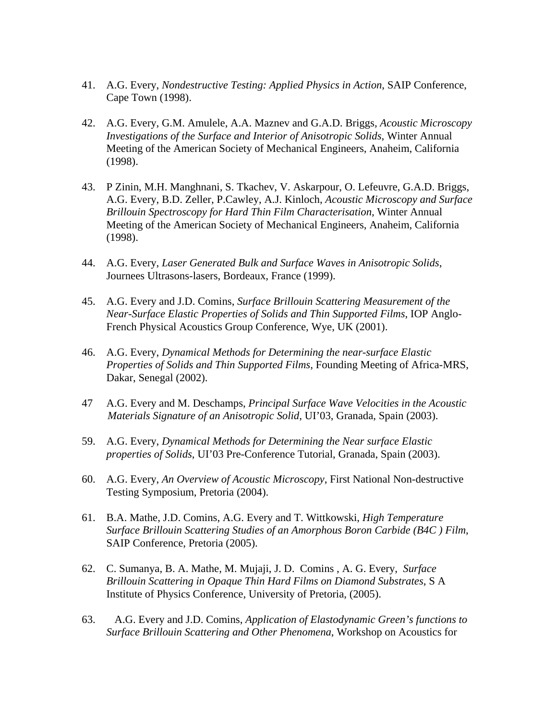- 41. A.G. Every, *Nondestructive Testing: Applied Physics in Action*, SAIP Conference, Cape Town (1998).
- 42. A.G. Every, G.M. Amulele, A.A. Maznev and G.A.D. Briggs*, Acoustic Microscopy Investigations of the Surface and Interior of Anisotropic Solids*, Winter Annual Meeting of the American Society of Mechanical Engineers, Anaheim, California (1998).
- 43. P Zinin, M.H. Manghnani, S. Tkachev, V. Askarpour, O. Lefeuvre, G.A.D. Briggs, A.G. Every, B.D. Zeller, P.Cawley, A.J. Kinloch, *Acoustic Microscopy and Surface Brillouin Spectroscopy for Hard Thin Film Characterisation*, Winter Annual Meeting of the American Society of Mechanical Engineers, Anaheim, California (1998).
- 44. A.G. Every, *Laser Generated Bulk and Surface Waves in Anisotropic Solids*, Journees Ultrasons-lasers, Bordeaux, France (1999).
- 45. A.G. Every and J.D. Comins, *Surface Brillouin Scattering Measurement of the Near-Surface Elastic Properties of Solids and Thin Supported Films*, IOP Anglo-French Physical Acoustics Group Conference, Wye, UK (2001).
- 46. A.G. Every, *Dynamical Methods for Determining the near-surface Elastic Properties of Solids and Thin Supported Films*, Founding Meeting of Africa-MRS, Dakar, Senegal (2002).
- 47 A.G. Every and M. Deschamps, *Principal Surface Wave Velocities in the Acoustic Materials Signature of an Anisotropic Solid*, UI'03, Granada, Spain (2003).
- 59. A.G. Every, *Dynamical Methods for Determining the Near surface Elastic properties of Solids*, UI'03 Pre-Conference Tutorial, Granada, Spain (2003).
- 60. A.G. Every, *An Overview of Acoustic Microscopy*, First National Non-destructive Testing Symposium, Pretoria (2004).
- 61. B.A. Mathe, J.D. Comins, A.G. Every and T. Wittkowski, *High Temperature Surface Brillouin Scattering Studies of an Amorphous Boron Carbide (B4C ) Film*, SAIP Conference, Pretoria (2005).
- 62. C. Sumanya, B. A. Mathe, M. Mujaji, J. D. Comins , A. G. Every, *Surface Brillouin Scattering in Opaque Thin Hard Films on Diamond Substrates*, S A Institute of Physics Conference, University of Pretoria, (2005).
- 63. A.G. Every and J.D. Comins, *Application of Elastodynamic Green's functions to Surface Brillouin Scattering and Other Phenomena*, Workshop on Acoustics for